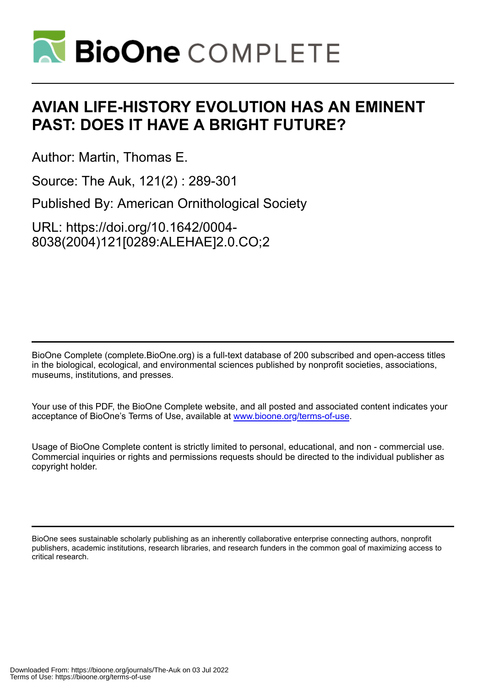

# **AVIAN LIFE-HISTORY EVOLUTION HAS AN EMINENT PAST: DOES IT HAVE A BRIGHT FUTURE?**

Author: Martin, Thomas E.

Source: The Auk, 121(2) : 289-301

Published By: American Ornithological Society

URL: https://doi.org/10.1642/0004- 8038(2004)121[0289:ALEHAE]2.0.CO;2

BioOne Complete (complete.BioOne.org) is a full-text database of 200 subscribed and open-access titles in the biological, ecological, and environmental sciences published by nonprofit societies, associations, museums, institutions, and presses.

Your use of this PDF, the BioOne Complete website, and all posted and associated content indicates your acceptance of BioOne's Terms of Use, available at www.bioone.org/terms-of-use.

Usage of BioOne Complete content is strictly limited to personal, educational, and non - commercial use. Commercial inquiries or rights and permissions requests should be directed to the individual publisher as copyright holder.

BioOne sees sustainable scholarly publishing as an inherently collaborative enterprise connecting authors, nonprofit publishers, academic institutions, research libraries, and research funders in the common goal of maximizing access to critical research.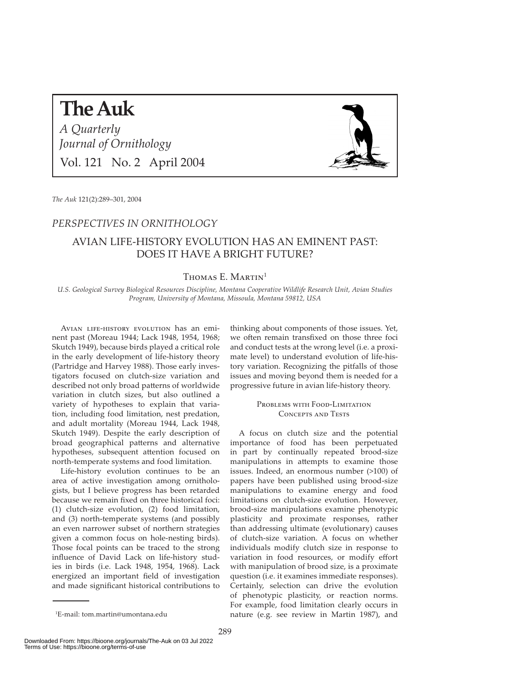# **The Auk**

*A Quarterly Journal of Ornithology* Vol. 121 No. 2 April 2004



*The Auk* 121(2):289–301, 2004

### *PERSPECTIVES IN ORNITHOLOGY*

## AVIAN LIFE-HISTORY EVOLUTION HAS AN EMINENT PAST: DOES IT HAVE A BRIGHT FUTURE?

#### Thomas E. Martin $^1$

*U.S. Geological Survey Biological Resources Discipline, Montana Cooperative Wildlife Research Unit, Avian Studies Program, University of Montana, Missoula, Montana 59812, USA*

AVIAN LIFE-HISTORY EVOLUTION has an eminent past (Moreau 1944; Lack 1948, 1954, 1968; Skutch 1949), because birds played a critical role in the early development of life-history theory (Partridge and Harvey 1988). Those early investigators focused on clutch-size variation and described not only broad patterns of worldwide variation in clutch sizes, but also outlined a variety of hypotheses to explain that variation, including food limitation, nest predation, and adult mortality (Moreau 1944, Lack 1948, Skutch 1949). Despite the early description of broad geographical patterns and alternative hypotheses, subsequent attention focused on north-temperate systems and food limitation.

Life-history evolution continues to be an area of active investigation among ornithologists, but I believe progress has been retarded because we remain fixed on three historical foci: (1) clutch-size evolution, (2) food limitation, and (3) north-temperate systems (and possibly an even narrower subset of northern strategies given a common focus on hole-nesting birds). Those focal points can be traced to the strong influence of David Lack on life-history studies in birds (i.e. Lack 1948, 1954, 1968). Lack energized an important field of investigation and made significant historical contributions to

thinking about components of those issues. Yet, we often remain transfixed on those three foci and conduct tests at the wrong level (i.e. a proximate level) to understand evolution of life-history variation. Recognizing the pitfalls of those issues and moving beyond them is needed for a progressive future in avian life-history theory.

#### Problems with Food-Limitation CONCEPTS AND TESTS

A focus on clutch size and the potential importance of food has been perpetuated in part by continually repeated brood-size manipulations in attempts to examine those issues. Indeed, an enormous number (>100) of papers have been published using brood-size manipulations to examine energy and food limitations on clutch-size evolution. However, brood-size manipulations examine phenotypic plasticity and proximate responses, rather than addressing ultimate (evolutionary) causes of clutch-size variation. A focus on whether individuals modify clutch size in response to variation in food resources, or modify effort with manipulation of brood size, is a proximate question (i.e. it examines immediate responses). Certainly, selection can drive the evolution of phenotypic plasticity, or reaction norms. For example, food limitation clearly occurs in nature (e.g. see review in Martin 1987), and

<sup>1</sup> E-mail: tom.martin@umontana.edu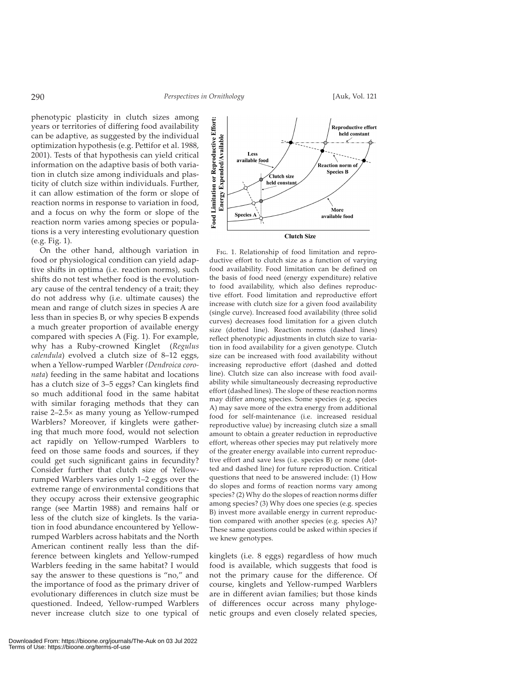phenotypic plasticity in clutch sizes among years or territories of differing food availability can be adaptive, as suggested by the individual optimization hypothesis (e.g. Pettifor et al. 1988, 2001). Tests of that hypothesis can yield critical information on the adaptive basis of both variation in clutch size among individuals and plasticity of clutch size within individuals. Further, it can allow estimation of the form or slope of reaction norms in response to variation in food, and a focus on why the form or slope of the reaction norm varies among species or populations is a very interesting evolutionary question (e.g. Fig. 1).

On the other hand, although variation in food or physiological condition can yield adaptive shifts in optima (i.e. reaction norms), such shifts do not test whether food is the evolutionary cause of the central tendency of a trait; they do not address why (i.e. ultimate causes) the mean and range of clutch sizes in species A are less than in species B, or why species B expends a much greater proportion of available energy compared with species A (Fig. 1). For example, why has a Ruby-crowned Kinglet (*Regulus calendula*) evolved a clutch size of 8–12 eggs, when a Yellow-rumped Warbler *(Dendroica coronata*) feeding in the same habitat and locations has a clutch size of 3–5 eggs? Can kinglets find so much additional food in the same habitat with similar foraging methods that they can raise 2–2.5× as many young as Yellow-rumped Warblers? Moreover, if kinglets were gathering that much more food, would not selection act rapidly on Yellow-rumped Warblers to feed on those same foods and sources, if they could get such significant gains in fecundity? Consider further that clutch size of Yellowrumped Warblers varies only 1–2 eggs over the extreme range of environmental conditions that they occupy across their extensive geographic range (see Martin 1988) and remains half or less of the clutch size of kinglets. Is the variation in food abundance encountered by Yellowrumped Warblers across habitats and the North American continent really less than the difference between kinglets and Yellow-rumped Warblers feeding in the same habitat? I would say the answer to these questions is "no," and the importance of food as the primary driver of evolutionary differences in clutch size must be questioned. Indeed, Yellow-rumped Warblers never increase clutch size to one typical of



F1G. 1. Relationship of food limitation and reproductive effort to clutch size as a function of varying food availability. Food limitation can be defined on the basis of food need (energy expenditure) relative to food availability, which also defines reproductive effort. Food limitation and reproductive effort increase with clutch size for a given food availability (single curve). Increased food availability (three solid curves) decreases food limitation for a given clutch size (dotted line). Reaction norms (dashed lines) reflect phenotypic adjustments in clutch size to variation in food availability for a given genotype. Clutch size can be increased with food availability without increasing reproductive effort (dashed and dotted line). Clutch size can also increase with food availability while simultaneously decreasing reproductive effort (dashed lines). The slope of these reaction norms may differ among species. Some species (e.g. species A) may save more of the extra energy from additional food for self-maintenance (i.e. increased residual reproductive value) by increasing clutch size a small amount to obtain a greater reduction in reproductive effort, whereas other species may put relatively more of the greater energy available into current reproductive effort and save less (i.e. species B) or none (dotted and dashed line) for future reproduction. Critical questions that need to be answered include: (1) How do slopes and forms of reaction norms vary among species? (2) Why do the slopes of reaction norms differ among species? (3) Why does one species (e.g. species B) invest more available energy in current reproduction compared with another species (e.g. species A)? These same questions could be asked within species if we knew genotypes.

kinglets (i.e. 8 eggs) regardless of how much food is available, which suggests that food is not the primary cause for the difference. Of course, kinglets and Yellow-rumped Warblers are in different avian families; but those kinds of differences occur across many phylogenetic groups and even closely related species,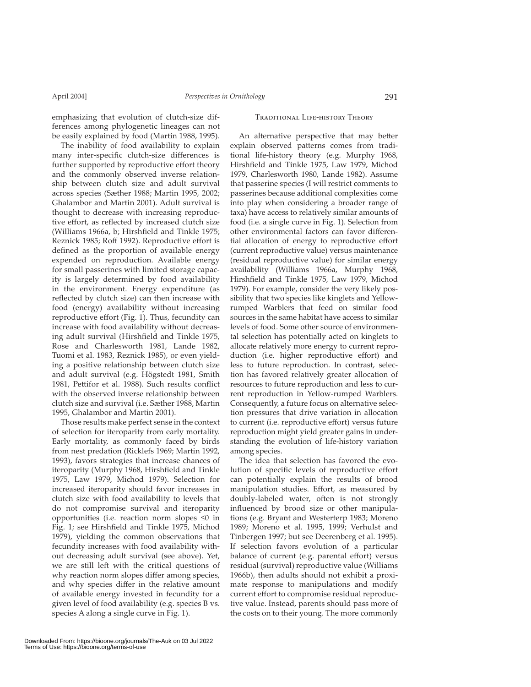emphasizing that evolution of clutch-size differences among phylogenetic lineages can not be easily explained by food (Martin 1988, 1995).

The inability of food availability to explain many inter-specific clutch-size differences is further supported by reproductive effort theory and the commonly observed inverse relationship between clutch size and adult survival across species (Sæther 1988; Martin 1995, 2002; Ghalambor and Martin 2001). Adult survival is thought to decrease with increasing reproductive effort, as reflected by increased clutch size (Williams 1966a, b; Hirshfield and Tinkle 1975; Reznick 1985; Roff 1992). Reproductive effort is defined as the proportion of available energy expended on reproduction. Available energy for small passerines with limited storage capacity is largely determined by food availability in the environment. Energy expenditure (as reflected by clutch size) can then increase with food (energy) availability without increasing reproductive effort (Fig. 1). Thus, fecundity can increase with food availability without decreasing adult survival (Hirshfield and Tinkle 1975, Rose and Charlesworth 1981, Lande 1982, Tuomi et al. 1983, Reznick 1985), or even yielding a positive relationship between clutch size and adult survival (e.g. Högstedt 1981, Smith 1981, Pettifor et al. 1988). Such results conflict with the observed inverse relationship between clutch size and survival (i.e. Sæther 1988, Martin 1995, Ghalambor and Martin 2001).

Those results make perfect sense in the context of selection for iteroparity from early mortality. Early mortality, as commonly faced by birds from nest predation (Ricklefs 1969; Martin 1992, 1993), favors strategies that increase chances of iteroparity (Murphy 1968, Hirshfield and Tinkle 1975, Law 1979, Michod 1979). Selection for increased iteroparity should favor increases in clutch size with food availability to levels that do not compromise survival and iteroparity opportunities (i.e. reaction norm slopes ≤0 in Fig. 1; see Hirshfield and Tinkle 1975, Michod 1979), yielding the common observations that fecundity increases with food availability without decreasing adult survival (see above). Yet, we are still left with the critical questions of why reaction norm slopes differ among species, and why species differ in the relative amount of available energy invested in fecundity for a given level of food availability (e.g. species B vs. species A along a single curve in Fig. 1).

#### Traditional Life-history Theory

An alternative perspective that may better explain observed patterns comes from traditional life-history theory (e.g. Murphy 1968, Hirshfield and Tinkle 1975, Law 1979, Michod 1979, Charlesworth 1980, Lande 1982). Assume that passerine species (I will restrict comments to passerines because additional complexities come into play when considering a broader range of taxa) have access to relatively similar amounts of food (i.e. a single curve in Fig. 1). Selection from other environmental factors can favor differential allocation of energy to reproductive effort (current reproductive value) versus maintenance (residual reproductive value) for similar energy availability (Williams 1966a, Murphy 1968, Hirshfield and Tinkle 1975, Law 1979, Michod 1979). For example, consider the very likely possibility that two species like kinglets and Yellowrumped Warblers that feed on similar food sources in the same habitat have access to similar levels of food. Some other source of environmental selection has potentially acted on kinglets to allocate relatively more energy to current reproduction (i.e. higher reproductive effort) and less to future reproduction. In contrast, selection has favored relatively greater allocation of resources to future reproduction and less to current reproduction in Yellow-rumped Warblers. Consequently, a future focus on alternative selection pressures that drive variation in allocation to current (i.e. reproductive effort) versus future reproduction might yield greater gains in understanding the evolution of life-history variation among species.

The idea that selection has favored the evolution of specific levels of reproductive effort can potentially explain the results of brood manipulation studies. Effort, as measured by doubly-labeled water, often is not strongly influenced by brood size or other manipulations (e.g. Bryant and Westerterp 1983; Moreno 1989; Moreno et al. 1995, 1999; Verhulst and Tinbergen 1997; but see Deerenberg et al. 1995). If selection favors evolution of a particular balance of current (e.g. parental effort) versus residual (survival) reproductive value (Williams 1966b), then adults should not exhibit a proximate response to manipulations and modify current effort to compromise residual reproductive value. Instead, parents should pass more of the costs on to their young. The more commonly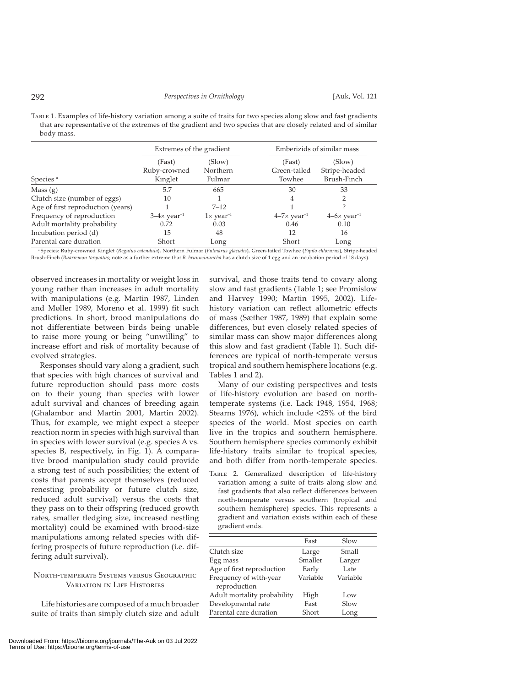TABLE 1. Examples of life-history variation among a suite of traits for two species along slow and fast gradients that are representative of the extremes of the gradient and two species that are closely related and of similar body mass.

|                                   | Extremes of the gradient          |                               |                                  | Emberizids of similar mass             |  |
|-----------------------------------|-----------------------------------|-------------------------------|----------------------------------|----------------------------------------|--|
| Species <sup>a</sup>              | (Fast)<br>Ruby-crowned<br>Kinglet | (Slow)<br>Northern<br>Fulmar  | (Fast)<br>Green-tailed<br>Towhee | (Slow)<br>Stripe-headed<br>Brush-Finch |  |
| Mass $(g)$                        | 5.7                               | 665                           | 30                               | 33                                     |  |
| Clutch size (number of eggs)      | 10                                |                               | 4                                | $\overline{2}$                         |  |
| Age of first reproduction (years) |                                   | $7 - 12$                      |                                  |                                        |  |
| Frequency of reproduction         | $3-4\times$ year <sup>-1</sup>    | $1 \times$ year <sup>-1</sup> | $4-7\times$ year <sup>-1</sup>   | $4-6\times$ year <sup>-1</sup>         |  |
| Adult mortality probability       | 0.72                              | 0.03                          | 0.46                             | 0.10                                   |  |
| Incubation period (d)             | 15                                | 48                            | 12                               | 16                                     |  |
| Parental care duration            | Short                             | Long                          | Short                            | Long                                   |  |

a Species: Ruby-crowned Kinglet (*Regulus calendula*), Northern Fulmar (*Fulmarus glacialis*), Green-tailed Towhee (*Pipilo chlorurus*), Stripe-headed Brush-Finch (*Buarremon torquatus*; note as a further extreme that *B. brunneinuncha* has a clutch size of 1 egg and an incubation period of 18 days).

observed increases in mortality or weight loss in young rather than increases in adult mortality with manipulations (e.g. Martin 1987, Linden and Møller 1989, Moreno et al. 1999) fit such predictions. In short, brood manipulations do not differentiate between birds being unable to raise more young or being "unwilling" to increase effort and risk of mortality because of evolved strategies.

Responses should vary along a gradient, such that species with high chances of survival and future reproduction should pass more costs on to their young than species with lower adult survival and chances of breeding again (Ghalambor and Martin 2001, Martin 2002). Thus, for example, we might expect a steeper reaction norm in species with high survival than in species with lower survival (e.g. species A vs. species B, respectively, in Fig. 1). A comparative brood manipulation study could provide a strong test of such possibilities; the extent of costs that parents accept themselves (reduced renesting probability or future clutch size, reduced adult survival) versus the costs that they pass on to their offspring (reduced growth rates, smaller fledging size, increased nestling mortality) could be examined with brood-size manipulations among related species with differing prospects of future reproduction (i.e. differing adult survival).

#### North-temperate Systems versus Geographic Variation in Life Histories

 Life histories are composed of a much broader suite of traits than simply clutch size and adult

survival, and those traits tend to covary along slow and fast gradients (Table 1; see Promislow and Harvey 1990; Martin 1995, 2002). Lifehistory variation can reflect allometric effects of mass (Sæther 1987, 1989) that explain some differences, but even closely related species of similar mass can show major differences along this slow and fast gradient (Table 1). Such differences are typical of north-temperate versus tropical and southern hemisphere locations (e.g. Tables 1 and 2).

Many of our existing perspectives and tests of life-history evolution are based on northtemperate systems (i.e. Lack 1948, 1954, 1968; Stearns 1976), which include <25% of the bird species of the world. Most species on earth live in the tropics and southern hemisphere. Southern hemisphere species commonly exhibit life-history traits similar to tropical species, and both differ from north-temperate species.

TABLE 2. Generalized description of life-history variation among a suite of traits along slow and fast gradients that also reflect differences between north-temperate versus southern (tropical and southern hemisphere) species. This represents a gradient and variation exists within each of these gradient ends.

|                             | Fast     | Slow     |
|-----------------------------|----------|----------|
| Clutch size                 | Large    | Small    |
| Egg mass                    | Smaller  | Larger   |
| Age of first reproduction   | Early    | Late     |
| Frequency of with-year      | Variable | Variable |
| reproduction                |          |          |
| Adult mortality probability | High     | Low      |
| Developmental rate          | Fast     | Slow     |
| Parental care duration      | Short    | Long     |
|                             |          |          |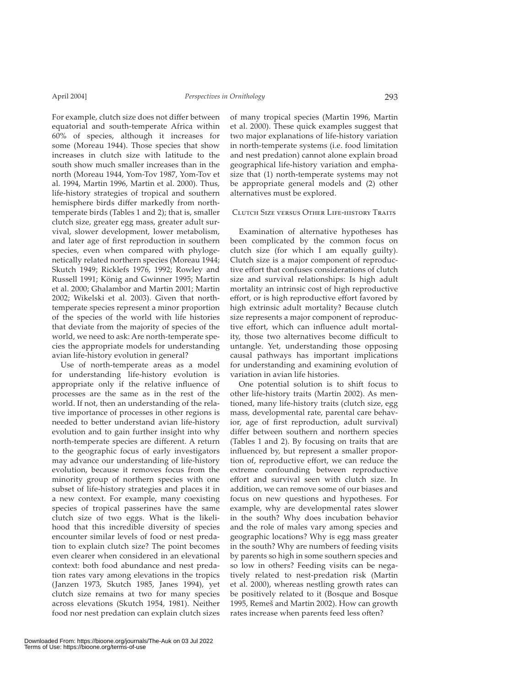For example, clutch size does not differ between equatorial and south-temperate Africa within 60% of species, although it increases for some (Moreau 1944). Those species that show increases in clutch size with latitude to the south show much smaller increases than in the north (Moreau 1944, Yom-Tov 1987, Yom-Tov et al. 1994, Martin 1996, Martin et al. 2000). Thus, life-history strategies of tropical and southern hemisphere birds differ markedly from northtemperate birds (Tables 1 and 2); that is, smaller clutch size, greater egg mass, greater adult survival, slower development, lower metabolism, and later age of first reproduction in southern species, even when compared with phylogenetically related northern species (Moreau 1944; Skutch 1949; Ricklefs 1976, 1992; Rowley and Russell 1991; König and Gwinner 1995; Martin et al. 2000; Ghalambor and Martin 2001; Martin 2002; Wikelski et al. 2003). Given that northtemperate species represent a minor proportion of the species of the world with life histories that deviate from the majority of species of the world, we need to ask: Are north-temperate species the appropriate models for understanding avian life-history evolution in general?

Use of north-temperate areas as a model for understanding life-history evolution is appropriate only if the relative influence of processes are the same as in the rest of the world. If not, then an understanding of the relative importance of processes in other regions is needed to better understand avian life-history evolution and to gain further insight into why north-temperate species are different. A return to the geographic focus of early investigators may advance our understanding of life-history evolution, because it removes focus from the minority group of northern species with one subset of life-history strategies and places it in a new context. For example, many coexisting species of tropical passerines have the same clutch size of two eggs. What is the likelihood that this incredible diversity of species encounter similar levels of food or nest predation to explain clutch size? The point becomes even clearer when considered in an elevational context: both food abundance and nest predation rates vary among elevations in the tropics (Janzen 1973, Skutch 1985, Janes 1994), yet clutch size remains at two for many species across elevations (Skutch 1954, 1981). Neither food nor nest predation can explain clutch sizes of many tropical species (Martin 1996, Martin et al. 2000). These quick examples suggest that two major explanations of life-history variation in north-temperate systems (i.e. food limitation and nest predation) cannot alone explain broad geographical life-history variation and emphasize that (1) north-temperate systems may not be appropriate general models and (2) other alternatives must be explored.

#### Clutch Size versus Other Life-history Traits

Examination of alternative hypotheses has been complicated by the common focus on clutch size (for which I am equally guilty). Clutch size is a major component of reproductive effort that confuses considerations of clutch size and survival relationships: Is high adult mortality an intrinsic cost of high reproductive effort, or is high reproductive effort favored by high extrinsic adult mortality? Because clutch size represents a major component of reproductive effort, which can influence adult mortality, those two alternatives become difficult to untangle. Yet, understanding those opposing causal pathways has important implications for understanding and examining evolution of variation in avian life histories.

One potential solution is to shift focus to other life-history traits (Martin 2002). As mentioned, many life-history traits (clutch size, egg mass, developmental rate, parental care behavior, age of first reproduction, adult survival) differ between southern and northern species (Tables 1 and 2). By focusing on traits that are influenced by, but represent a smaller proportion of, reproductive effort, we can reduce the extreme confounding between reproductive effort and survival seen with clutch size. In addition, we can remove some of our biases and focus on new questions and hypotheses. For example, why are developmental rates slower in the south? Why does incubation behavior and the role of males vary among species and geographic locations? Why is egg mass greater in the south? Why are numbers of feeding visits by parents so high in some southern species and so low in others? Feeding visits can be negatively related to nest-predation risk (Martin et al. 2000), whereas nestling growth rates can be positively related to it (Bosque and Bosque 1995, Remeš and Martin 2002). How can growth rates increase when parents feed less often?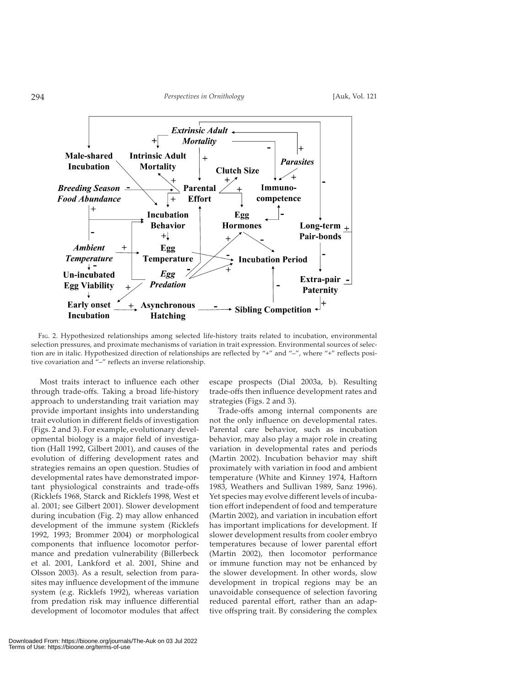

F1G. 2. Hypothesized relationships among selected life-history traits related to incubation, environmental selection pressures, and proximate mechanisms of variation in trait expression. Environmental sources of selection are in italic. Hypothesized direction of relationships are reflected by "+" and "–", where "+" reflects positive covariation and "–" reflects an inverse relationship.

Most traits interact to influence each other through trade-offs. Taking a broad life-history approach to understanding trait variation may provide important insights into understanding trait evolution in different fields of investigation (Figs. 2 and 3). For example, evolutionary developmental biology is a major field of investigation (Hall 1992, Gilbert 2001), and causes of the evolution of differing development rates and strategies remains an open question. Studies of developmental rates have demonstrated important physiological constraints and trade-offs (Ricklefs 1968, Starck and Ricklefs 1998, West et al. 2001; see Gilbert 2001). Slower development during incubation (Fig. 2) may allow enhanced development of the immune system (Ricklefs 1992, 1993; Brommer 2004) or morphological components that influence locomotor performance and predation vulnerability (Billerbeck et al. 2001, Lankford et al. 2001, Shine and Olsson 2003). As a result, selection from parasites may influence development of the immune system (e.g. Ricklefs 1992), whereas variation from predation risk may influence differential development of locomotor modules that affect escape prospects (Dial 2003a, b). Resulting trade-offs then influence development rates and strategies (Figs. 2 and 3).

Trade-offs among internal components are not the only influence on developmental rates. Parental care behavior, such as incubation behavior, may also play a major role in creating variation in developmental rates and periods (Martin 2002). Incubation behavior may shift proximately with variation in food and ambient temperature (White and Kinney 1974, Haftorn 1983, Weathers and Sullivan 1989, Sanz 1996). Yet species may evolve different levels of incubation effort independent of food and temperature (Martin 2002), and variation in incubation effort has important implications for development. If slower development results from cooler embryo temperatures because of lower parental effort (Martin 2002), then locomotor performance or immune function may not be enhanced by the slower development. In other words, slow development in tropical regions may be an unavoidable consequence of selection favoring reduced parental effort, rather than an adaptive offspring trait. By considering the complex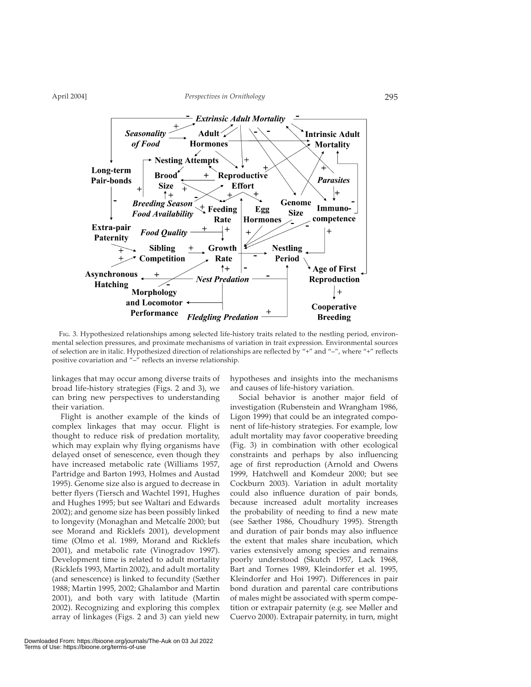

F1G. 3. Hypothesized relationships among selected life-history traits related to the nestling period, environmental selection pressures, and proximate mechanisms of variation in trait expression. Environmental sources of selection are in italic. Hypothesized direction of relationships are reflected by "+" and "–", where "+" reflects positive covariation and "–" reflects an inverse relationship.

linkages that may occur among diverse traits of broad life-history strategies (Figs. 2 and 3), we can bring new perspectives to understanding their variation.

Flight is another example of the kinds of complex linkages that may occur. Flight is thought to reduce risk of predation mortality, which may explain why flying organisms have delayed onset of senescence, even though they have increased metabolic rate (Williams 1957, Partridge and Barton 1993, Holmes and Austad 1995). Genome size also is argued to decrease in better flyers (Tiersch and Wachtel 1991, Hughes and Hughes 1995; but see Waltari and Edwards 2002); and genome size has been possibly linked to longevity (Monaghan and Metcalfe 2000; but see Morand and Ricklefs 2001), development time (Olmo et al. 1989, Morand and Ricklefs 2001), and metabolic rate (Vinogradov 1997). Development time is related to adult mortality (Ricklefs 1993, Martin 2002), and adult mortality (and senescence) is linked to fecundity (Sæther 1988; Martin 1995, 2002; Ghalambor and Martin 2001), and both vary with latitude (Martin 2002). Recognizing and exploring this complex array of linkages (Figs. 2 and 3) can yield new

hypotheses and insights into the mechanisms and causes of life-history variation.

Social behavior is another major field of investigation (Rubenstein and Wrangham 1986, Ligon 1999) that could be an integrated component of life-history strategies. For example, low adult mortality may favor cooperative breeding (Fig. 3) in combination with other ecological constraints and perhaps by also influencing age of first reproduction (Arnold and Owens 1999, Hatchwell and Komdeur 2000; but see Cockburn 2003). Variation in adult mortality could also influence duration of pair bonds, because increased adult mortality increases the probability of needing to find a new mate (see Sæther 1986, Choudhury 1995). Strength and duration of pair bonds may also influence the extent that males share incubation, which varies extensively among species and remains poorly understood (Skutch 1957, Lack 1968, Bart and Tornes 1989, Kleindorfer et al. 1995, Kleindorfer and Hoi 1997). Differences in pair bond duration and parental care contributions of males might be associated with sperm competition or extrapair paternity (e.g. see Møller and Cuervo 2000). Extrapair paternity, in turn, might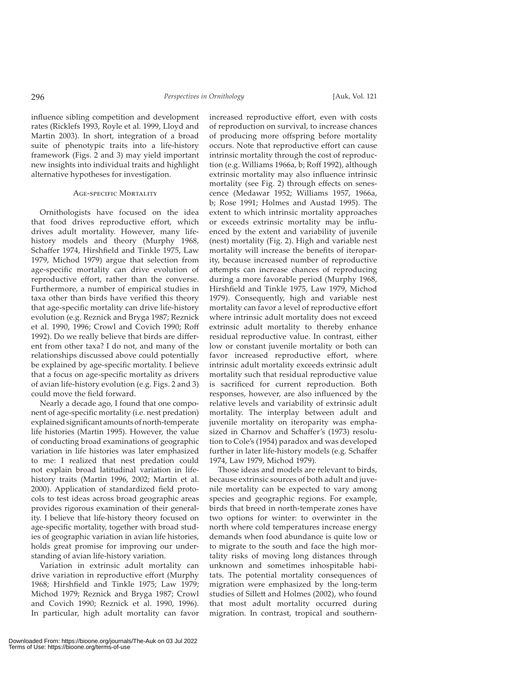influence sibling competition and development rates (Ricklefs 1993, Royle et al. 1999, Lloyd and Martin 2003). In short, integration of a broad suite of phenotypic traits into a life-history framework (Figs. 2 and 3) may yield important new insights into individual traits and highlight alternative hypotheses for investigation.

#### Age-specific Mortality

Ornithologists have focused on the idea that food drives reproductive effort, which drives adult mortality. However, many lifehistory models and theory (Murphy 1968, Schaffer 1974, Hirshfield and Tinkle 1975, Law 1979, Michod 1979) argue that selection from age-specific mortality can drive evolution of reproductive effort, rather than the converse. Furthermore, a number of empirical studies in taxa other than birds have verified this theory that age-specific mortality can drive life-history evolution (e.g. Reznick and Bryga 1987; Reznick et al. 1990, 1996; Crowl and Covich 1990; Roff 1992). Do we really believe that birds are different from other taxa? I do not, and many of the relationships discussed above could potentially be explained by age-specific mortality. I believe that a focus on age-specific mortality as drivers of avian life-history evolution (e.g. Figs. 2 and 3) could move the field forward.

Nearly a decade ago, I found that one component of age-specific mortality (i.e. nest predation) explained significant amounts of north-temperate life histories (Martin 1995). However, the value of conducting broad examinations of geographic variation in life histories was later emphasized to me: I realized that nest predation could not explain broad latitudinal variation in lifehistory traits (Martin 1996, 2002; Martin et al. 2000). Application of standardized field protocols to test ideas across broad geographic areas provides rigorous examination of their generality. I believe that life-history theory focused on age-specific mortality, together with broad studies of geographic variation in avian life histories, holds great promise for improving our understanding of avian life-history variation.

Variation in extrinsic adult mortality can drive variation in reproductive effort (Murphy 1968; Hirshfield and Tinkle 1975; Law 1979; Michod 1979; Reznick and Bryga 1987; Crowl and Covich 1990; Reznick et al. 1990, 1996). In particular, high adult mortality can favor increased reproductive effort, even with costs of reproduction on survival, to increase chances of producing more offspring before mortality occurs. Note that reproductive effort can cause intrinsic mortality through the cost of reproduction (e.g. Williams 1966a, b; Roff 1992), although extrinsic mortality may also influence intrinsic mortality (see Fig. 2) through effects on senescence (Medawar 1952; Williams 1957, 1966a, b; Rose 1991; Holmes and Austad 1995). The extent to which intrinsic mortality approaches or exceeds extrinsic mortality may be influenced by the extent and variability of juvenile (nest) mortality (Fig. 2). High and variable nest mortality will increase the benefits of iteroparity, because increased number of reproductive attempts can increase chances of reproducing during a more favorable period (Murphy 1968, Hirshfield and Tinkle 1975, Law 1979, Michod 1979). Consequently, high and variable nest mortality can favor a level of reproductive effort where intrinsic adult mortality does not exceed extrinsic adult mortality to thereby enhance residual reproductive value. In contrast, either low or constant juvenile mortality or both can favor increased reproductive effort, where intrinsic adult mortality exceeds extrinsic adult mortality such that residual reproductive value is sacrificed for current reproduction. Both responses, however, are also influenced by the relative levels and variability of extrinsic adult mortality. The interplay between adult and juvenile mortality on iteroparity was emphasized in Charnov and Schaffer's (1973) resolution to Cole's (1954) paradox and was developed further in later life-history models (e.g. Schaffer 1974, Law 1979, Michod 1979).

Those ideas and models are relevant to birds, because extrinsic sources of both adult and juvenile mortality can be expected to vary among species and geographic regions. For example, birds that breed in north-temperate zones have two options for winter: to overwinter in the north where cold temperatures increase energy demands when food abundance is quite low or to migrate to the south and face the high mortality risks of moving long distances through unknown and sometimes inhospitable habitats. The potential mortality consequences of migration were emphasized by the long-term studies of Sillett and Holmes (2002), who found that most adult mortality occurred during migration. In contrast, tropical and southern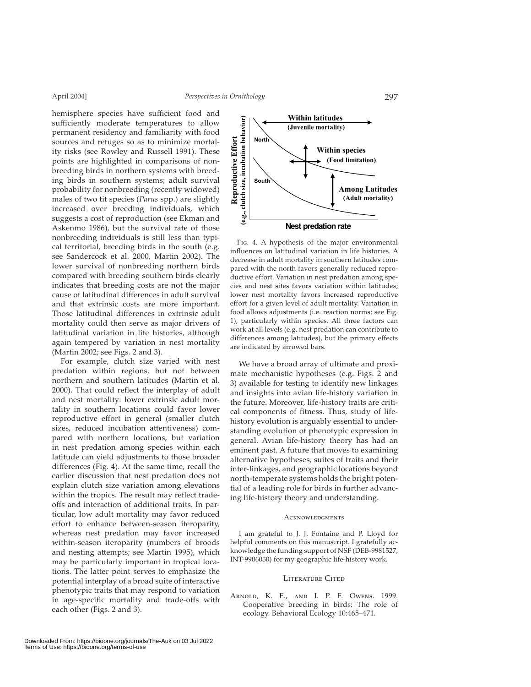hemisphere species have sufficient food and sufficiently moderate temperatures to allow permanent residency and familiarity with food sources and refuges so as to minimize mortality risks (see Rowley and Russell 1991). These points are highlighted in comparisons of nonbreeding birds in northern systems with breeding birds in southern systems; adult survival probability for nonbreeding (recently widowed) males of two tit species (*Parus* spp.) are slightly increased over breeding individuals, which suggests a cost of reproduction (see Ekman and Askenmo 1986), but the survival rate of those nonbreeding individuals is still less than typical territorial, breeding birds in the south (e.g. see Sandercock et al. 2000, Martin 2002). The lower survival of nonbreeding northern birds compared with breeding southern birds clearly indicates that breeding costs are not the major cause of latitudinal differences in adult survival and that extrinsic costs are more important. Those latitudinal differences in extrinsic adult mortality could then serve as major drivers of latitudinal variation in life histories, although again tempered by variation in nest mortality (Martin 2002; see Figs. 2 and 3).

For example, clutch size varied with nest predation within regions, but not between northern and southern latitudes (Martin et al. 2000). That could reflect the interplay of adult and nest mortality: lower extrinsic adult mortality in southern locations could favor lower reproductive effort in general (smaller clutch sizes, reduced incubation attentiveness) compared with northern locations, but variation in nest predation among species within each latitude can yield adjustments to those broader differences (Fig. 4). At the same time, recall the earlier discussion that nest predation does not explain clutch size variation among elevations within the tropics. The result may reflect tradeoffs and interaction of additional traits. In particular, low adult mortality may favor reduced effort to enhance between-season iteroparity, whereas nest predation may favor increased within-season iteroparity (numbers of broods and nesting attempts; see Martin 1995), which may be particularly important in tropical locations. The latter point serves to emphasize the potential interplay of a broad suite of interactive phenotypic traits that may respond to variation in age-specific mortality and trade-offs with each other (Figs. 2 and 3).



F1G. 4. A hypothesis of the major environmental influences on latitudinal variation in life histories. A decrease in adult mortality in southern latitudes compared with the north favors generally reduced reproductive effort. Variation in nest predation among species and nest sites favors variation within latitudes; lower nest mortality favors increased reproductive effort for a given level of adult mortality. Variation in food allows adjustments (i.e. reaction norms; see Fig. 1), particularly within species. All three factors can work at all levels (e.g. nest predation can contribute to differences among latitudes), but the primary effects are indicated by arrowed bars.

We have a broad array of ultimate and proximate mechanistic hypotheses (e.g. Figs. 2 and 3) available for testing to identify new linkages and insights into avian life-history variation in the future. Moreover, life-history traits are critical components of fitness. Thus, study of lifehistory evolution is arguably essential to understanding evolution of phenotypic expression in general. Avian life-history theory has had an eminent past. A future that moves to examining alternative hypotheses, suites of traits and their inter-linkages, and geographic locations beyond north-temperate systems holds the bright potential of a leading role for birds in further advancing life-history theory and understanding.

#### **ACKNOWLEDGMENTS**

I am grateful to J. J. Fontaine and P. Lloyd for helpful comments on this manuscript. I gratefully acknowledge the funding support of NSF (DEB-9981527, INT-9906030) for my geographic life-history work.

#### Literature Cited

ARNOLD, K. E., AND I. P. F. OWENS. 1999. Cooperative breeding in birds: The role of ecology. Behavioral Ecology 10:465–471.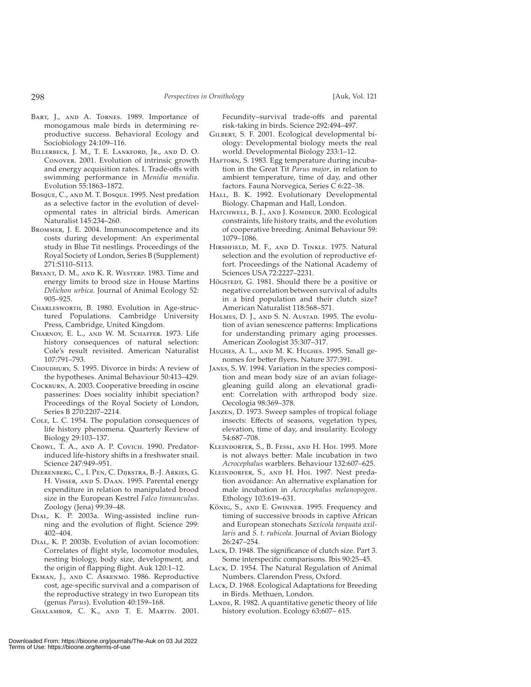- BART, J., AND A. TORNES. 1989. Importance of monogamous male birds in determining reproductive success. Behavioral Ecology and Sociobiology 24:109–116.
- Billerbeck, J. M., T. E. Lankford, Jr., and D. O. CONOVER. 2001. Evolution of intrinsic growth and energy acquisition rates. I. Trade-offs with swimming performance in *Menidia menidia*. Evolution 55:1863–1872.
- BOSQUE, C., AND M. T. BOSQUE. 1995. Nest predation as a selective factor in the evolution of developmental rates in altricial birds. American Naturalist 145:234–260.
- BROMMER, J. E. 2004. Immunocompetence and its costs during development: An experimental study in Blue Tit nestlings. Proceedings of the Royal Society of London, Series B (Supplement) 271:S110–S113.
- Bryant, D. M., and K. R. Westerp. 1983. Time and energy limits to brood size in House Martins *Delichon urbica*. Journal of Animal Ecology 52: 905–925.
- CHARLESWORTH, B. 1980. Evolution in Age-structured Populations. Cambridge University Press, Cambridge, United Kingdom.
- CHARNOV, E. L., AND W. M. SCHAFFER. 1973. Life history consequences of natural selection: Cole's result revisited. American Naturalist 107:791–793.
- C
, S. 1995. Divorce in birds: A review of the hypotheses. Animal Behaviour 50:413–429.
- Cocквикм, A. 2003. Cooperative breeding in oscine passerines: Does sociality inhibit speciation? Proceedings of the Royal Society of London, Series B 270:2207–2214.
- COLE, L. C. 1954. The population consequences of life history phenomena. Quarterly Review of Biology 29:103–137.
- Crowl, T. A., and A. P. Covich. 1990. Predatorinduced life-history shifts in a freshwater snail. Science 247:949–951.
- Deerenberg, C., I. Pen, C. Dijkstra, B.-J. Arkies, G. H. Visser, and S. Daan. 1995. Parental energy expenditure in relation to manipulated brood size in the European Kestrel *Falco tinnunculus*. Zoology (Jena) 99:39–48.
- D1AL, K. P. 2003a. Wing-assisted incline running and the evolution of flight. Science 299: 402–404.
- DIAL, K. P. 2003b. Evolution of avian locomotion: Correlates of flight style, locomotor modules, nesting biology, body size, development, and the origin of flapping flight. Auk 120:1-12.
- EKMAN, J., AND C. ASKENMO. 1986. Reproductive cost, age-specific survival and a comparison of the reproductive strategy in two European tits (genus *Parus*). Evolution 40:159–168.

Ghalambor, C. K., and T. E. Martin. 2001.

Fecundity-survival trade-offs and parental risk-taking in birds. Science 292:494–497.

- G1LBERT, S. F. 2001. Ecological developmental biology: Developmental biology meets the real world. Developmental Biology 233:1–12.
- Harrorn, S. 1983. Egg temperature during incubation in the Great Tit *Parus major*, in relation to ambient temperature, time of day, and other factors. Fauna Norvegica, Series C 6:22–38.
- HALL, B. K. 1992. Evolutionary Developmental Biology. Chapman and Hall, London.
- Hatchwell, B. J., and J. Komdeur. 2000. Ecological constraints, life history traits, and the evolution of cooperative breeding. Animal Behaviour 59: 1079–1086.
- Hirshfield, M. F., and D. Tinkle. 1975. Natural selection and the evolution of reproductive effort. Proceedings of the National Academy of Sciences USA 72:2227–2231.
- Högstedt, G. 1981. Should there be a positive or negative correlation between survival of adults in a bird population and their clutch size? American Naturalist 118:568–571.
- Holmes, D. J., and S. N. Austad. 1995. The evolution of avian senescence patterns: Implications for understanding primary aging processes. American Zoologist 35:307–317.
- HUGHES, A. L., AND M. K. HUGHES. 1995. Small genomes for better flyers. Nature 377:391.
- JANES, S. W. 1994. Variation in the species composition and mean body size of an avian foliagegleaning guild along an elevational gradient: Correlation with arthropod body size. Oecologia 98:369–378.
- JANZEN, D. 1973. Sweep samples of tropical foliage insects: Effects of seasons, vegetation types, elevation, time of day, and insularity. Ecology 54:687–708.
- Kleindorfer, S., B. Fessl, and H. Hoi. 1995. More is not always better: Male incubation in two *Acrocephalus* warblers. Behaviour 132:607–625.
- Kleindorfer, S., and H. Hoi. 1997. Nest predation avoidance: An alternative explanation for male incubation in *Acrocephalus melanopogon*. Ethology 103:619–631.
- König, S., and E. Gwinner. 1995. Frequency and timing of successive broods in captive African and European stonechats *Saxicola torquata axillaris* and *S. t. rubicola*. Journal of Avian Biology 26:247–254.
- LACK, D. 1948. The significance of clutch size. Part 3. Some interspecific comparisons. Ibis 90:25-45.
- LACK, D. 1954. The Natural Regulation of Animal Numbers. Clarendon Press, Oxford.
- LACK, D. 1968. Ecological Adaptations for Breeding in Birds. Methuen, London.
- LANDE, R. 1982. A quantitative genetic theory of life history evolution. Ecology 63:607– 615.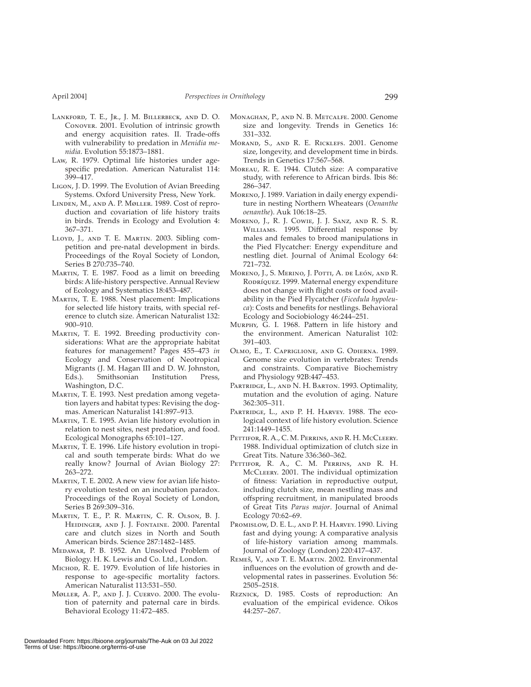- Lankford, T. E., Jr., J. M. Billerbeck, and D. O. CONOVER. 2001. Evolution of intrinsic growth and energy acquisition rates. II. Trade-offs with vulnerability to predation in *Menidia menidia*. Evolution 55:1873–1881.
- LAW, R. 1979. Optimal life histories under agespecific predation. American Naturalist 114: 399–417.
- LIGON, J. D. 1999. The Evolution of Avian Breeding Systems. Oxford University Press, New York.
- Linden, M., and A. P. Møller. 1989. Cost of reproduction and covariation of life history traits in birds. Trends in Ecology and Evolution 4: 367–371.
- Lloyd, J., and T. E. Martin. 2003. Sibling competition and pre-natal development in birds. Proceedings of the Royal Society of London, Series B 270:735–740.
- MARTIN, T. E. 1987. Food as a limit on breeding birds: A life-history perspective. Annual Review of Ecology and Systematics 18:453–487.
- MARTIN, T. E. 1988. Nest placement: Implications for selected life history traits, with special reference to clutch size. American Naturalist 132: 900–910.
- Martın, T. E. 1992. Breeding productivity considerations: What are the appropriate habitat features for management? Pages 455–473 *in* Ecology and Conservation of Neotropical Migrants (J. M. Hagan III and D. W. Johnston,<br>Eds.). Smithsonian Institution Press. Eds.). Smithsonian Institution Press, Washington, D.C.
- Marrın, T. E. 1993. Nest predation among vegetation layers and habitat types: Revising the dogmas. American Naturalist 141:897–913.
- M -, T. E. 1995. Avian life history evolution in relation to nest sites, nest predation, and food. Ecological Monographs 65:101–127.
- Marrın, T. E. 1996. Life history evolution in tropical and south temperate birds: What do we really know? Journal of Avian Biology 27: 263–272.
- M -, T. E. 2002. A new view for avian life history evolution tested on an incubation paradox. Proceedings of the Royal Society of London, Series B 269:309–316.
- Martin, T. E., P. R. Martin, C. R. Olson, B. J. Heidinger, and J. J. Fontaine. 2000. Parental care and clutch sizes in North and South American birds. Science 287:1482–1485.
- MEDAWAR, P. B. 1952. An Unsolved Problem of Biology. H. K. Lewis and Co. Ltd., London.
- Мıснор, R. E. 1979. Evolution of life histories in response to age-specific mortality factors. American Naturalist 113:531–550.
- Møller, A. P., and J. J. Cuervo. 2000. The evolution of paternity and paternal care in birds. Behavioral Ecology 11:472–485.
- Monaghan, P., and N. B. Metcalfe. 2000. Genome size and longevity. Trends in Genetics 16: 331–332.
- Morand, S., and R. E. Ricklefs. 2001. Genome size, longevity, and development time in birds. Trends in Genetics 17:567–568.
- MOREAU, R. E. 1944. Clutch size: A comparative study, with reference to African birds. Ibis 86: 286–347.
- MORENO, J. 1989. Variation in daily energy expenditure in nesting Northern Wheatears (*Oenanthe oenanthe*). Auk 106:18–25.
- Moreno, J., R. J. Cowie, J. J. Sanz, and R. S. R. WILLIAMS. 1995. Differential response by males and females to brood manipulations in the Pied Flycatcher: Energy expenditure and nestling diet. Journal of Animal Ecology 64: 721–732.
- Moreno, J., S. Merino, J. Potti, A. de León, and R. RODRÍQUEZ. 1999. Maternal energy expenditure does not change with flight costs or food availability in the Pied Flycatcher (*Ficedula hypoleuca*): Costs and benefits for nestlings. Behavioral Ecology and Sociobiology 46:244–251.
- MURPHY, G. I. 1968. Pattern in life history and the environment. American Naturalist 102: 391–403.
- Olmo, E., T. Capriglione, and G. Odierna. 1989. Genome size evolution in vertebrates: Trends and constraints. Comparative Biochemistry and Physiology 92B:447–453.
- Partridge, L., and N. H. Barton. 1993. Optimality, mutation and the evolution of aging. Nature 362:305–311.
- Partridge, L., and P. H. Harvey. 1988. The ecological context of life history evolution. Science 241:1449–1455.
- Pettifor, R. A., C. M. Perrins, and R. H. McCleery. 1988. Individual optimization of clutch size in Great Tits. Nature 336:360–362.
- Pettifor, R. A., C. M. Perrins, and R. H. McCLEERY. 2001. The individual optimization of fitness: Variation in reproductive output, including clutch size, mean nestling mass and offspring recruitment, in manipulated broods of Great Tits *Parus major*. Journal of Animal Ecology 70:62–69.
- Promislow, D. E. L., and P. H. Harvey. 1990. Living fast and dying young: A comparative analysis of life-history variation among mammals. Journal of Zoology (London) 220:417–437.
- Remeš, V., and T. E. Martin. 2002. Environmental influences on the evolution of growth and developmental rates in passerines. Evolution 56: 2505–2518.
- Reznick, D. 1985. Costs of reproduction: An evaluation of the empirical evidence. Oikos 44:257–267.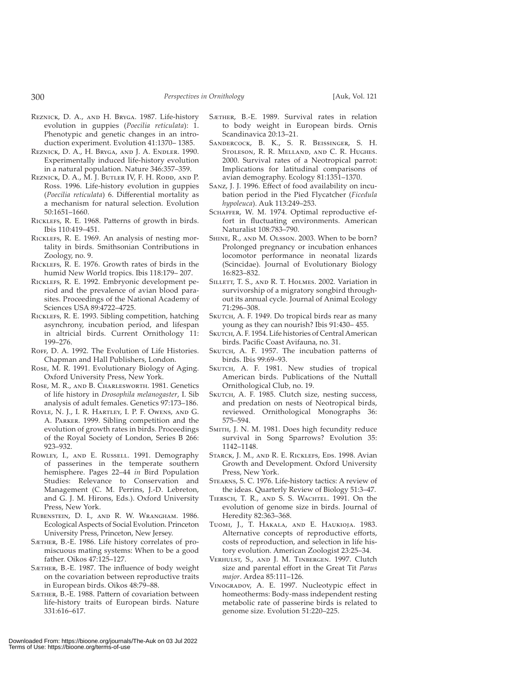- Reznick, D. A., and H. Bryga. 1987. Life-history evolution in guppies (*Poecilia reticulata*): 1. Phenotypic and genetic changes in an introduction experiment. Evolution 41:1370– 1385.
- Reznick, D. A., H. Bryga, and J. A. Endler. 1990. Experimentally induced life-history evolution in a natural population. Nature 346:357–359.
- Reznick, D. A., M. J. Butler IV, F. H. Rodd, and P. Ross. 1996. Life-history evolution in guppies (*Poecilia reticulata*) 6. Differential mortality as a mechanism for natural selection. Evolution 50:1651–1660.
- RICKLEFS, R. E. 1968. Patterns of growth in birds. Ibis 110:419–451.
- RICKLEFS, R. E. 1969. An analysis of nesting mortality in birds. Smithsonian Contributions in Zoology, no. 9.
- RICKLEFS, R. E. 1976. Growth rates of birds in the humid New World tropics. Ibis 118:179– 207.
- Rıcklers, R. E. 1992. Embryonic development period and the prevalence of avian blood parasites. Proceedings of the National Academy of Sciences USA 89:4722–4725.
- RICKLEFS, R. E. 1993. Sibling competition, hatching asynchrony, incubation period, and lifespan in altricial birds. Current Ornithology 11: 199–276.
- ROFF, D. A. 1992. The Evolution of Life Histories. Chapman and Hall Publishers, London.
- ROSE, M. R. 1991. Evolutionary Biology of Aging. Oxford University Press, New York.
- Rose, M. R., and B. Charlesworth. 1981. Genetics of life history in *Drosophila melanogaster*, I. Sib analysis of adult females. Genetics 97:173–186.
- Royle, N. J., I. R. Hartley, I. P. F. Owens, and G. A. PARKER. 1999. Sibling competition and the evolution of growth rates in birds. Proceedings of the Royal Society of London, Series B 266: 923–932.
- ROWLEY, I., AND E. RUSSELL. 1991. Demography of passerines in the temperate southern hemisphere. Pages 22–44 *in* Bird Population Studies: Relevance to Conservation and Management (C. M. Perrins, J.-D. Lebreton, and G. J. M. Hirons, Eds.). Oxford University Press, New York.
- Rubenstein, D. I., and R. W. Wrangham. 1986. Ecological Aspects of Social Evolution. Princeton University Press, Princeton, New Jersey.
- Sæтнєк, B.-E. 1986. Life history correlates of promiscuous mating systems: When to be a good father. Oikos 47:125–127.
- Sæтнєк, B.-E. 1987. The influence of body weight on the covariation between reproductive traits in European birds. Oikos 48:79–88.
- S $\kappa$ тн $\kappa$ , B.-E. 1988. Pattern of covariation between life-history traits of European birds. Nature 331:616–617.
- S& , B.-E. 1989. Survival rates in relation to body weight in European birds. Ornis Scandinavica 20:13–21.
- Sandercock, B. K., S. R. Beissinger, S. H. Stoleson, R. R. Melland, and C. R. Hughes. 2000. Survival rates of a Neotropical parrot: Implications for latitudinal comparisons of avian demography. Ecology 81:1351–1370.
- SANZ, J. J. 1996. Effect of food availability on incubation period in the Pied Flycatcher (*Ficedula hypoleuca*). Auk 113:249–253.
- SCHAFFER, W. M. 1974. Optimal reproductive effort in fluctuating environments. American Naturalist 108:783–790.
- Shine, R., and M. Olsson. 2003. When to be born? Prolonged pregnancy or incubation enhances locomotor performance in neonatal lizards (Scincidae). Journal of Evolutionary Biology 16:823–832.
- Sillett, T. S., and R. T. Holmes. 2002. Variation in survivorship of a migratory songbird throughout its annual cycle. Journal of Animal Ecology 71:296–308.
- Sкитсн, A. F. 1949. Do tropical birds rear as many young as they can nourish? Ibis 91:430– 455.
- Sкитсн, A. F. 1954. Life histories of Central American birds. Pacific Coast Avifauna, no. 31.
- Sкитсн, A. F. 1957. The incubation patterns of birds. Ibis 99:69–93.
- Sкитсн, A. F. 1981. New studies of tropical American birds. Publications of the Nuttall Ornithological Club, no. 19.
- Sкитсн, A. F. 1985. Clutch size, nesting success, and predation on nests of Neotropical birds, reviewed. Ornithological Monographs 36: 575–594.
- Sмıтн, J. N. M. 1981. Does high fecundity reduce survival in Song Sparrows? Evolution 35: 1142–1148.
- Starck, J. M., and R. E. Ricklefs, Eds. 1998. Avian Growth and Development. Oxford University Press, New York.
- S  , S. C. 1976. Life-history tactics: A review of the ideas. Quarterly Review of Biology 51:3–47.
- Tiersch, T. R., and S. S. Wachtel. 1991. On the evolution of genome size in birds. Journal of Heredity 82:363–368.
- Tuomi, J., T. Hakala, and E. Haukioja. 1983. Alternative concepts of reproductive efforts, costs of reproduction, and selection in life history evolution. American Zoologist 23:25–34.
- Verhulst, S., and J. M. Tinbergen. 1997. Clutch size and parental effort in the Great Tit Parus *major*. Ardea 85:111–126.
- VINOGRADOV, A. E. 1997. Nucleotypic effect in homeotherms: Body-mass independent resting metabolic rate of passerine birds is related to genome size. Evolution 51:220–225.